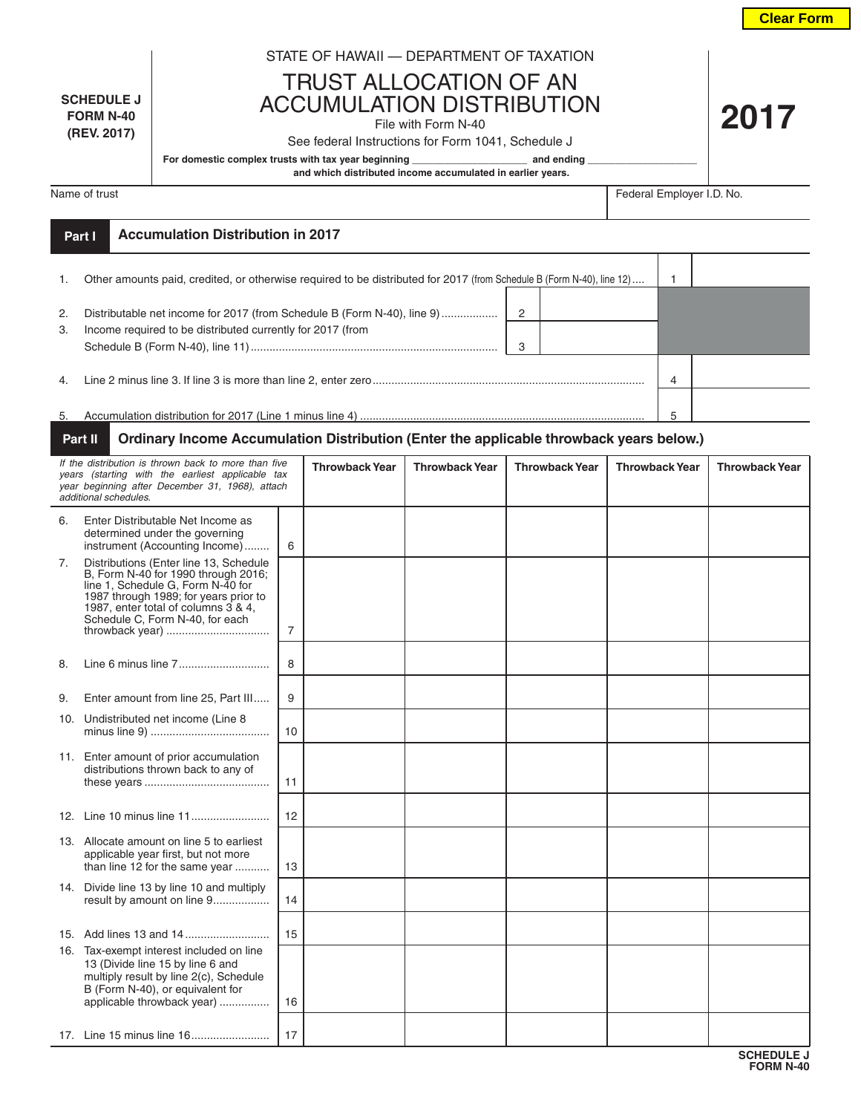**Clear Form**

**2017**

## STATE OF HAWAII — DEPARTMENT OF TAXATION

TRUST ALLOCATION OF AN ACCUMULATION DISTRIBUTION

File with Form N-40

## See federal Instructions for Form 1041, Schedule J

H.

**SCHEDULE J FORM N-40 (REV. 2017)**

For domestic complex trusts with tax year beginning **\_\_\_\_\_\_\_\_\_\_\_\_\_\_\_\_\_\_\_\_** and ending

 **and which distributed income accumulated in earlier years.**

Name of trust Federal Employer I.D. No.

|          | Part I | <b>Accumulation Distribution in 2017</b>                                                                                              |        |  |   |  |
|----------|--------|---------------------------------------------------------------------------------------------------------------------------------------|--------|--|---|--|
| 1.       |        | Other amounts paid, credited, or otherwise required to be distributed for 2017 (from Schedule B (Form N-40), line 12)                 |        |  |   |  |
| 2.<br>3. |        | Distributable net income for 2017 (from Schedule B (Form N-40), line 9)<br>Income required to be distributed currently for 2017 (from | 2<br>3 |  |   |  |
| 4.       |        |                                                                                                                                       | 4      |  |   |  |
| 5.       |        |                                                                                                                                       |        |  | 5 |  |

## **Ordinary Income Accumulation Distribution (Enter the applicable throwback years below.) Part II**

| If the distribution is thrown back to more than five<br>years (starting with the earliest applicable tax<br>year beginning after December 31, 1968), attach<br>additional schedules. |                                                                                                                                                                                                                                       |                | <b>Throwback Year</b> | <b>Throwback Year</b> | <b>Throwback Year</b> | <b>Throwback Year</b> | <b>Throwback Year</b> |
|--------------------------------------------------------------------------------------------------------------------------------------------------------------------------------------|---------------------------------------------------------------------------------------------------------------------------------------------------------------------------------------------------------------------------------------|----------------|-----------------------|-----------------------|-----------------------|-----------------------|-----------------------|
| 6.                                                                                                                                                                                   | Enter Distributable Net Income as<br>determined under the governing<br>instrument (Accounting Income)                                                                                                                                 | 6              |                       |                       |                       |                       |                       |
| 7.                                                                                                                                                                                   | Distributions (Enter line 13, Schedule<br>B, Form N-40 for 1990 through 2016;<br>line 1, Schedule G, Form N-40 for<br>1987 through 1989; for years prior to<br>1987, enter total of columns 3 & 4,<br>Schedule C, Form N-40, for each | $\overline{7}$ |                       |                       |                       |                       |                       |
| 8.                                                                                                                                                                                   |                                                                                                                                                                                                                                       | 8              |                       |                       |                       |                       |                       |
| 9.                                                                                                                                                                                   | Enter amount from line 25, Part III                                                                                                                                                                                                   | 9              |                       |                       |                       |                       |                       |
|                                                                                                                                                                                      | 10. Undistributed net income (Line 8                                                                                                                                                                                                  | 10             |                       |                       |                       |                       |                       |
|                                                                                                                                                                                      | 11. Enter amount of prior accumulation<br>distributions thrown back to any of                                                                                                                                                         | 11             |                       |                       |                       |                       |                       |
|                                                                                                                                                                                      |                                                                                                                                                                                                                                       | 12             |                       |                       |                       |                       |                       |
|                                                                                                                                                                                      | 13. Allocate amount on line 5 to earliest<br>applicable year first, but not more<br>than line 12 for the same year                                                                                                                    | 13             |                       |                       |                       |                       |                       |
|                                                                                                                                                                                      | 14. Divide line 13 by line 10 and multiply<br>result by amount on line 9                                                                                                                                                              | 14             |                       |                       |                       |                       |                       |
|                                                                                                                                                                                      |                                                                                                                                                                                                                                       | 15             |                       |                       |                       |                       |                       |
|                                                                                                                                                                                      | 16. Tax-exempt interest included on line<br>13 (Divide line 15 by line 6 and<br>multiply result by line 2(c), Schedule<br>B (Form N-40), or equivalent for<br>applicable throwback year)                                              | 16             |                       |                       |                       |                       |                       |
|                                                                                                                                                                                      |                                                                                                                                                                                                                                       | 17             |                       |                       |                       |                       |                       |